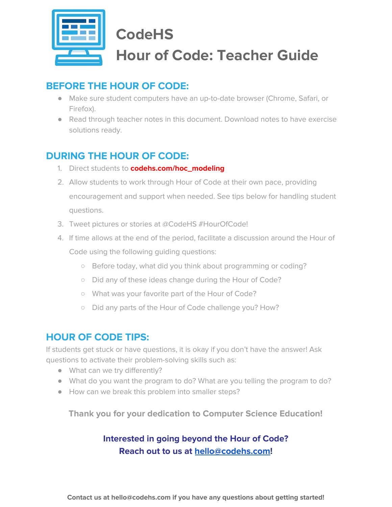

# **CodeHS Hour of Code: Teacher Guide**

### **BEFORE THE HOUR OF CODE:**

- Make sure student computers have an up-to-date browser (Chrome, Safari, or Firefox).
- Read through teacher notes in this document. Download notes to have exercise solutions ready.

### **DURING THE HOUR OF CODE:**

- 1. Direct students to **codehs.com/hoc\_modeling**
- 2. Allow students to work through Hour of Code at their own pace, providing encouragement and support when needed. See tips below for handling student questions.
- 3. Tweet pictures or stories at @CodeHS #HourOfCode!
- 4. If time allows at the end of the period, facilitate a discussion around the Hour of Code using the following guiding questions:
	- Before today, what did you think about programming or coding?
	- Did any of these ideas change during the Hour of Code?
	- What was your favorite part of the Hour of Code?
	- Did any parts of the Hour of Code challenge you? How?

### **HOUR OF CODE TIPS:**

If students get stuck or have questions, it is okay if you don't have the answer! Ask questions to activate their problem-solving skills such as:

- What can we try differently?
- What do you want the program to do? What are you telling the program to do?
- How can we break this problem into smaller steps?

**Thank you for your dedication to Computer Science Education!**

### **Interested in going beyond the Hour of Code? Reach out to us at [hello@codehs.com](mailto:hello@codehs.com)!**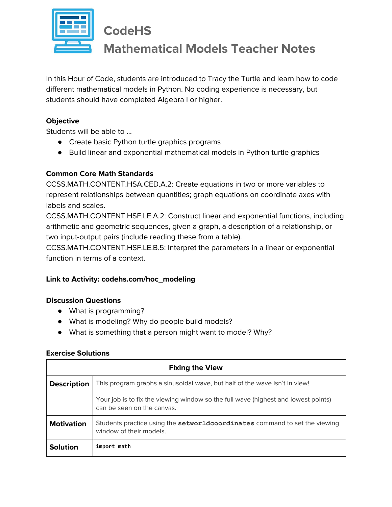

## **CodeHS**

## **Mathematical Models Teacher Notes**

In this Hour of Code, students are introduced to Tracy the Turtle and learn how to code different mathematical models in Python. No coding experience is necessary, but students should have completed Algebra I or higher.

#### **Objective**

Students will be able to …

- Create basic Python turtle graphics programs
- Build linear and exponential mathematical models in Python turtle graphics

#### **Common Core Math Standards**

CCSS.MATH.CONTENT.HSA.CED.A.2: Create equations in two or more variables to represent relationships between quantities; graph equations on coordinate axes with labels and scales.

CCSS.MATH.CONTENT.HSF.LE.A.2: Construct linear and exponential functions, including arithmetic and geometric sequences, given a graph, a description of a relationship, or two input-output pairs (include reading these from a table).

CCSS.MATH.CONTENT.HSF.LE.B.5: Interpret the parameters in a linear or exponential function in terms of a context.

#### **Link to Activity: codehs.com/hoc\_modeling**

#### **Discussion Questions**

- What is programming?
- What is modeling? Why do people build models?
- What is something that a person might want to model? Why?

#### **Exercise Solutions**

| <b>Fixing the View</b> |                                                                                                                  |  |
|------------------------|------------------------------------------------------------------------------------------------------------------|--|
| <b>Description</b>     | This program graphs a sinusoidal wave, but half of the wave isn't in view!                                       |  |
|                        | Your job is to fix the viewing window so the full wave (highest and lowest points)<br>can be seen on the canvas. |  |
| <b>Motivation</b>      | Students practice using the setworldcoordinates command to set the viewing<br>window of their models.            |  |
| <b>Solution</b>        | import math                                                                                                      |  |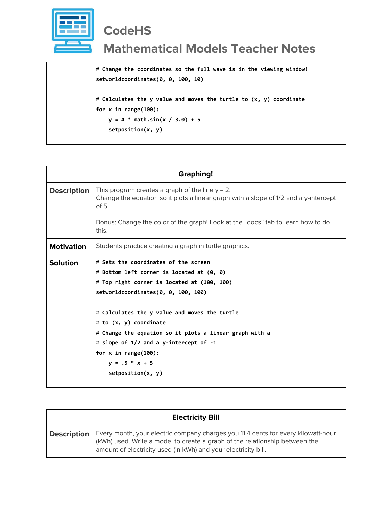

# **CodeHS**

## **Mathematical Models Teacher Notes**

**# Change the coordinates so the full wave is in the viewing window! setworldcoordinates(0, 0, 100, 10) # Calculates the y value and moves the turtle to (x, y) coordinate**

**for x in range(100):**

```
 y = 4 * math.sin(x / 3.0) + 5
```
 **setposition(x, y)**

| <b>Graphing!</b>   |                                                                                                                                                                                                                                                                                                                                                                                                                                |  |
|--------------------|--------------------------------------------------------------------------------------------------------------------------------------------------------------------------------------------------------------------------------------------------------------------------------------------------------------------------------------------------------------------------------------------------------------------------------|--|
| <b>Description</b> | This program creates a graph of the line $y = 2$ .<br>Change the equation so it plots a linear graph with a slope of 1/2 and a y-intercept<br>of 5.                                                                                                                                                                                                                                                                            |  |
|                    | Bonus: Change the color of the graph! Look at the "docs" tab to learn how to do<br>this.                                                                                                                                                                                                                                                                                                                                       |  |
| <b>Motivation</b>  | Students practice creating a graph in turtle graphics.                                                                                                                                                                                                                                                                                                                                                                         |  |
| <b>Solution</b>    | # Sets the coordinates of the screen<br># Bottom left corner is located at (0, 0)<br># Top right corner is located at (100, 100)<br>setworldcoordinates(0, 0, 100, 100)<br># Calculates the y value and moves the turtle<br># to (x, y) coordinate<br># Change the equation so it plots a linear graph with a<br># slope of 1/2 and a y-intercept of -1<br>for $x$ in range $(100)$ :<br>$y = .5 * x + 5$<br>setposition(x, y) |  |

| <b>Electricity Bill</b> |                                                                                                                                                                                                                                    |  |
|-------------------------|------------------------------------------------------------------------------------------------------------------------------------------------------------------------------------------------------------------------------------|--|
| <b>Description</b>      | Every month, your electric company charges you 11.4 cents for every kilowatt-hour<br>(kWh) used. Write a model to create a graph of the relationship between the<br>amount of electricity used (in kWh) and your electricity bill. |  |